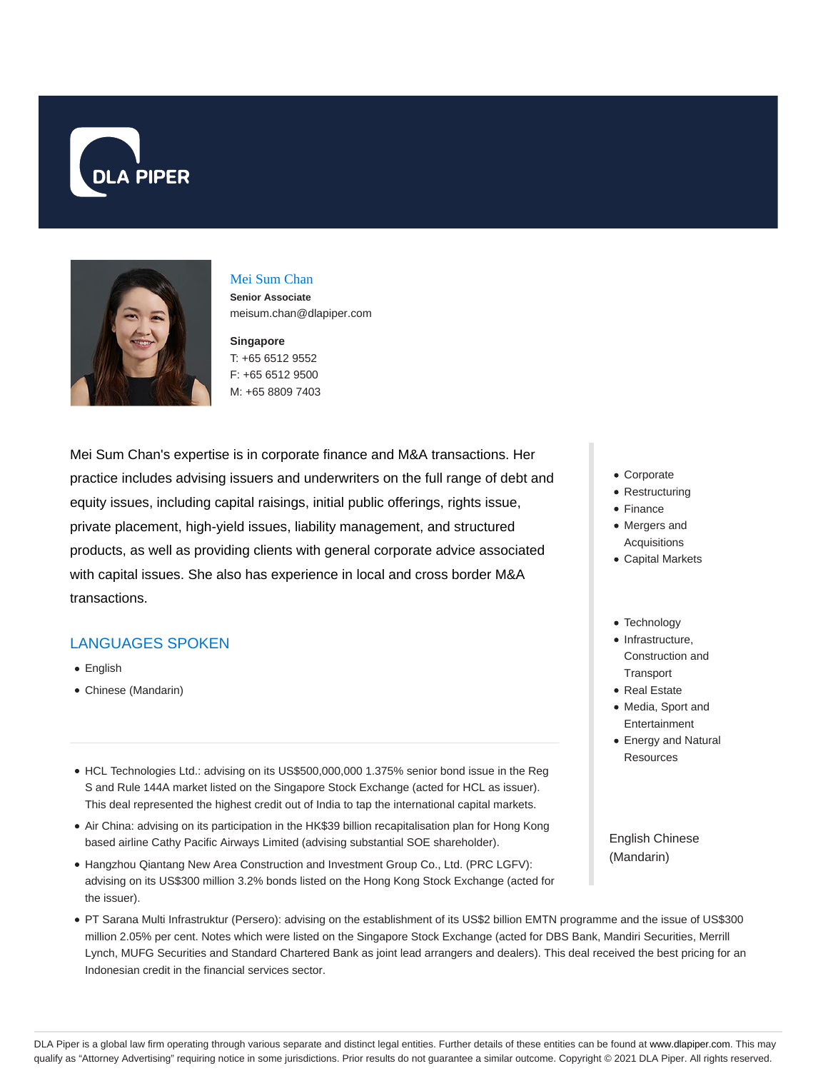



# Mei Sum Chan

**Senior Associate** meisum.chan@dlapiper.com

#### **Singapore**

T: +65 6512 9552 F: +65 6512 9500 M: +65 8809 7403

Mei Sum Chan's expertise is in corporate finance and M&A transactions. Her practice includes advising issuers and underwriters on the full range of debt and equity issues, including capital raisings, initial public offerings, rights issue, private placement, high-yield issues, liability management, and structured products, as well as providing clients with general corporate advice associated with capital issues. She also has experience in local and cross border M&A transactions.

# LANGUAGES SPOKEN

- English
- Chinese (Mandarin)
- HCL Technologies Ltd.: advising on its US\$500,000,000 1.375% senior bond issue in the Reg S and Rule 144A market listed on the Singapore Stock Exchange (acted for HCL as issuer). This deal represented the highest credit out of India to tap the international capital markets.
- Air China: advising on its participation in the HK\$39 billion recapitalisation plan for Hong Kong based airline Cathy Pacific Airways Limited (advising substantial SOE shareholder).
- Hangzhou Qiantang New Area Construction and Investment Group Co., Ltd. (PRC LGFV): advising on its US\$300 million 3.2% bonds listed on the Hong Kong Stock Exchange (acted for the issuer).
- PT Sarana Multi Infrastruktur (Persero): advising on the establishment of its US\$2 billion EMTN programme and the issue of US\$300 million 2.05% per cent. Notes which were listed on the Singapore Stock Exchange (acted for DBS Bank, Mandiri Securities, Merrill Lynch, MUFG Securities and Standard Chartered Bank as joint lead arrangers and dealers). This deal received the best pricing for an Indonesian credit in the financial services sector.
- Corporate
- Restructuring
- Finance
- Mergers and Acquisitions
- Capital Markets
- Technology
- $\bullet$  Infrastructure, Construction and **Transport**
- Real Estate
- Media, Sport and Entertainment
- Energy and Natural Resources

English Chinese (Mandarin)